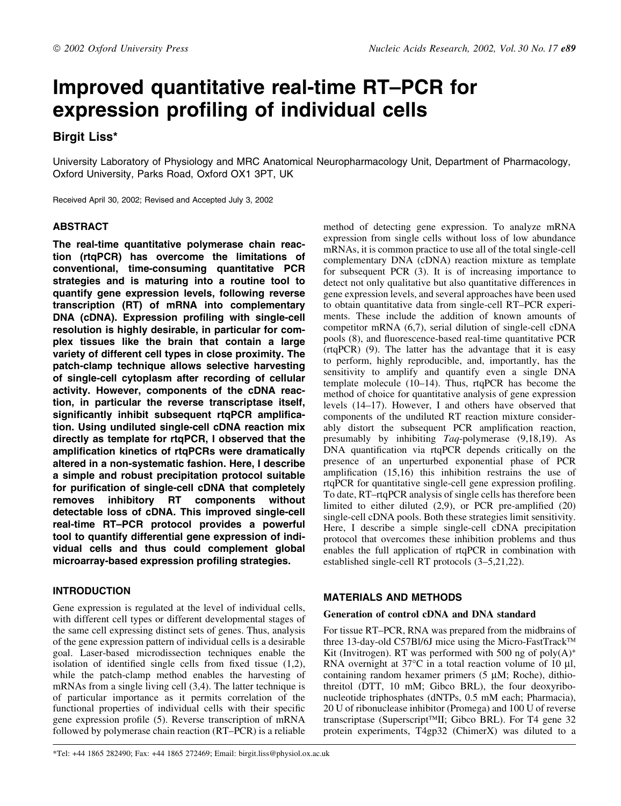# Improved quantitative real-time RT-PCR for expression profiling of individual cells

# Birgit Liss\*

University Laboratory of Physiology and MRC Anatomical Neuropharmacology Unit, Department of Pharmacology, Oxford University, Parks Road, Oxford OX1 3PT, UK

Received April 30, 2002; Revised and Accepted July 3, 2002

# ABSTRACT

The real-time quantitative polymerase chain reaction (rtqPCR) has overcome the limitations of conventional, time-consuming quantitative PCR strategies and is maturing into a routine tool to quantify gene expression levels, following reverse transcription (RT) of mRNA into complementary DNA (cDNA). Expression profiling with single-cell resolution is highly desirable, in particular for complex tissues like the brain that contain a large variety of different cell types in close proximity. The patch-clamp technique allows selective harvesting of single-cell cytoplasm after recording of cellular activity. However, components of the cDNA reaction, in particular the reverse transcriptase itself, significantly inhibit subsequent rtqPCR amplification. Using undiluted single-cell cDNA reaction mix directly as template for rtqPCR, I observed that the amplification kinetics of rtqPCRs were dramatically altered in a non-systematic fashion. Here, I describe a simple and robust precipitation protocol suitable for purification of single-cell cDNA that completely removes inhibitory RT components without detectable loss of cDNA. This improved single-cell real-time RT-PCR protocol provides a powerful tool to quantify differential gene expression of individual cells and thus could complement global microarray-based expression profiling strategies.

# INTRODUCTION

Gene expression is regulated at the level of individual cells, with different cell types or different developmental stages of the same cell expressing distinct sets of genes. Thus, analysis of the gene expression pattern of individual cells is a desirable goal. Laser-based microdissection techniques enable the isolation of identified single cells from fixed tissue  $(1,2)$ , while the patch-clamp method enables the harvesting of mRNAs from a single living cell (3,4). The latter technique is of particular importance as it permits correlation of the functional properties of individual cells with their specific gene expression profile (5). Reverse transcription of mRNA followed by polymerase chain reaction  $(RT-PCR)$  is a reliable method of detecting gene expression. To analyze mRNA expression from single cells without loss of low abundance mRNAs, it is common practice to use all of the total single-cell complementary DNA (cDNA) reaction mixture as template for subsequent PCR (3). It is of increasing importance to detect not only qualitative but also quantitative differences in gene expression levels, and several approaches have been used to obtain quantitative data from single-cell RT-PCR experiments. These include the addition of known amounts of competitor mRNA (6,7), serial dilution of single-cell cDNA pools (8), and fluorescence-based real-time quantitative PCR (rtqPCR) (9). The latter has the advantage that it is easy to perform, highly reproducible, and, importantly, has the sensitivity to amplify and quantify even a single DNA template molecule  $(10-14)$ . Thus, rtqPCR has become the method of choice for quantitative analysis of gene expression levels (14–17). However, I and others have observed that components of the undiluted RT reaction mixture considerably distort the subsequent PCR amplification reaction, presumably by inhibiting Taq-polymerase (9,18,19). As DNA quantification via rtqPCR depends critically on the presence of an unperturbed exponential phase of PCR amplification  $(15,16)$  this inhibition restrains the use of rtqPCR for quantitative single-cell gene expression profiling. To date, RT-rtqPCR analysis of single cells has therefore been limited to either diluted  $(2,9)$ , or PCR pre-amplified  $(20)$ single-cell cDNA pools. Both these strategies limit sensitivity. Here, I describe a simple single-cell cDNA precipitation protocol that overcomes these inhibition problems and thus enables the full application of rtqPCR in combination with established single-cell RT protocols  $(3-5,21,22)$ .

# MATERIALS AND METHODS

#### Generation of control cDNA and DNA standard

For tissue RT-PCR, RNA was prepared from the midbrains of three 13-day-old C57Bl/6J mice using the Micro-FastTrack<sup>TM</sup> Kit (Invitrogen). RT was performed with 500 ng of  $poly(A)^+$ RNA overnight at 37 $\degree$ C in a total reaction volume of 10 µl, containing random hexamer primers  $(5 \mu M; Roche)$ , dithiothreitol (DTT, 10 mM; Gibco BRL), the four deoxyribonucleotide triphosphates (dNTPs, 0.5 mM each; Pharmacia), 20 U of ribonuclease inhibitor (Promega) and 100 U of reverse transcriptase (Superscript<sup>™II</sup>I; Gibco BRL). For T4 gene 32 protein experiments, T4gp32 (ChimerX) was diluted to a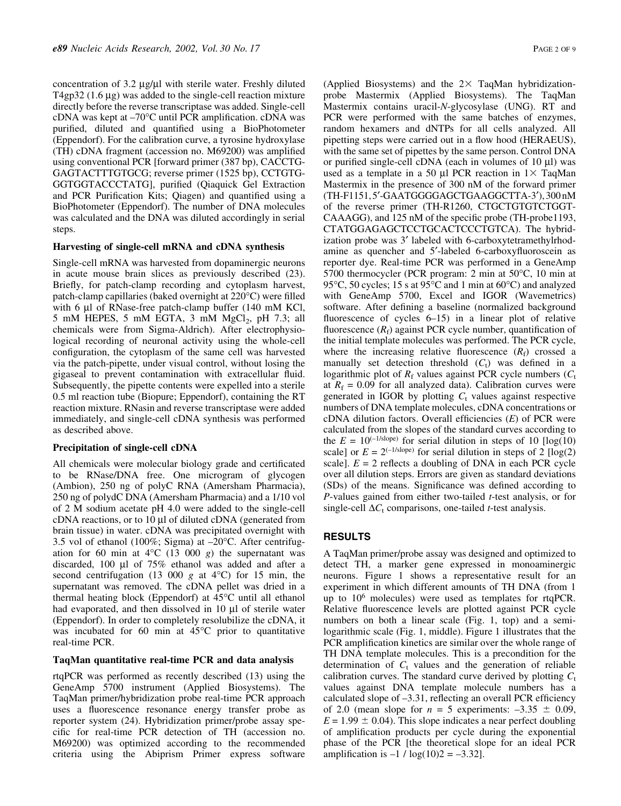concentration of 3.2  $\mu$ g/ $\mu$ l with sterile water. Freshly diluted T4gp32  $(1.6 \mu g)$  was added to the single-cell reaction mixture directly before the reverse transcriptase was added. Single-cell cDNA was kept at  $-70^{\circ}$ C until PCR amplification. cDNA was purified, diluted and quantified using a BioPhotometer (Eppendorf). For the calibration curve, a tyrosine hydroxylase (TH) cDNA fragment (accession no. M69200) was amplified using conventional PCR [forward primer (387 bp), CACCTG-GAGTACTTTGTGCG; reverse primer (1525 bp), CCTGTG-GGTGGTACCCTATG], purified (Qiaquick Gel Extraction and PCR Purification Kits; Qiagen) and quantified using a BioPhotometer (Eppendorf). The number of DNA molecules was calculated and the DNA was diluted accordingly in serial steps.

#### Harvesting of single-cell mRNA and cDNA synthesis

Single-cell mRNA was harvested from dopaminergic neurons in acute mouse brain slices as previously described (23). Briefly, for patch-clamp recording and cytoplasm harvest, patch-clamp capillaries (baked overnight at 220°C) were filled with 6  $\mu$ l of RNase-free patch-clamp buffer (140 mM KCl, 5 mM HEPES, 5 mM EGTA, 3 mM  $MgCl<sub>2</sub>$ , pH 7.3; all chemicals were from Sigma-Aldrich). After electrophysiological recording of neuronal activity using the whole-cell configuration, the cytoplasm of the same cell was harvested via the patch-pipette, under visual control, without losing the gigaseal to prevent contamination with extracellular fluid. Subsequently, the pipette contents were expelled into a sterile 0.5 ml reaction tube (Biopure; Eppendorf), containing the RT reaction mixture. RNasin and reverse transcriptase were added immediately, and single-cell cDNA synthesis was performed as described above.

#### Precipitation of single-cell cDNA

All chemicals were molecular biology grade and certificated to be RNase/DNA free. One microgram of glycogen (Ambion), 250 ng of polyC RNA (Amersham Pharmacia), 250 ng of polydC DNA (Amersham Pharmacia) and a 1/10 vol of 2 M sodium acetate pH 4.0 were added to the single-cell cDNA reactions, or to  $10 \mu l$  of diluted cDNA (generated from brain tissue) in water. cDNA was precipitated overnight with 3.5 vol of ethanol (100%; Sigma) at  $-20^{\circ}$ C. After centrifugation for 60 min at  $4^{\circ}$ C (13 000 g) the supernatant was discarded, 100  $\mu$ l of 75% ethanol was added and after a second centrifugation (13 000 g at  $4^{\circ}$ C) for 15 min, the supernatant was removed. The cDNA pellet was dried in a thermal heating block (Eppendorf) at 45°C until all ethanol had evaporated, and then dissolved in 10 µl of sterile water (Eppendorf). In order to completely resolubilize the cDNA, it was incubated for 60 min at 45°C prior to quantitative real-time PCR.

#### TaqMan quantitative real-time PCR and data analysis

rtqPCR was performed as recently described (13) using the GeneAmp 5700 instrument (Applied Biosystems). The TaqMan primer/hybridization probe real-time PCR approach uses a fluorescence resonance energy transfer probe as reporter system (24). Hybridization primer/probe assay specific for real-time PCR detection of TH (accession no. M69200) was optimized according to the recommended criteria using the Abiprism Primer express software (Applied Biosystems) and the  $2 \times$  TaqMan hybridizationprobe Mastermix (Applied Biosystems). The TaqMan Mastermix contains uracil-N-glycosylase (UNG). RT and PCR were performed with the same batches of enzymes, random hexamers and dNTPs for all cells analyzed. All pipetting steps were carried out in a flow hood (HERAEUS), with the same set of pipettes by the same person. Control DNA or purified single-cell cDNA (each in volumes of  $10 \mu l$ ) was used as a template in a 50  $\mu$ l PCR reaction in 1 $\times$  TaqMan Mastermix in the presence of 300 nM of the forward primer (TH-F1151, 5'-GAATGGGGAGCTGAAGGCTTA-3'), 300 nM of the reverse primer (TH-R1260, CTGCTGTGTCTGGT-CAAAGG), and 125 nM of the specific probe (TH-probe1193, CTATGGAGAGCTCCTGCACTCCCTGTCA). The hybridization probe was 3' labeled with 6-carboxytetramethylrhodamine as quencher and 5'-labeled 6-carboxyfluoroscein as reporter dye. Real-time PCR was performed in a GeneAmp 5700 thermocycler (PCR program: 2 min at 50°C, 10 min at 95°C, 50 cycles; 15 s at 95°C and 1 min at 60°C) and analyzed with GeneAmp 5700, Excel and IGOR (Wavemetrics) software. After defining a baseline (normalized background fluorescence of cycles  $6-15$  in a linear plot of relative fluorescence  $(R_f)$  against PCR cycle number, quantification of the initial template molecules was performed. The PCR cycle, where the increasing relative fluorescence  $(R_f)$  crossed a manually set detection threshold  $(C_t)$  was defined in a logarithmic plot of  $R_f$  values against PCR cycle numbers ( $C_t$ at  $R_f = 0.09$  for all analyzed data). Calibration curves were generated in IGOR by plotting  $C_t$  values against respective numbers of DNA template molecules, cDNA concentrations or cDNA dilution factors. Overall efficiencies  $(E)$  of PCR were calculated from the slopes of the standard curves according to the  $E = 10^{(-1/\text{slope})}$  for serial dilution in steps of 10 [log(10)] scale] or  $E = 2^{(-1/\text{slope})}$  for serial dilution in steps of 2 [log(2) scale].  $E = 2$  reflects a doubling of DNA in each PCR cycle over all dilution steps. Errors are given as standard deviations (SDs) of the means. Significance was defined according to  $P$ -values gained from either two-tailed  $t$ -test analysis, or for single-cell  $\Delta C_t$  comparisons, one-tailed *t*-test analysis.

#### RESULTS

A TaqMan primer/probe assay was designed and optimized to detect TH, a marker gene expressed in monoaminergic neurons. Figure 1 shows a representative result for an experiment in which different amounts of TH DNA (from 1 up to 106 molecules) were used as templates for rtqPCR. Relative fluorescence levels are plotted against PCR cycle numbers on both a linear scale (Fig. 1, top) and a semilogarithmic scale (Fig. 1, middle). Figure 1 illustrates that the PCR amplification kinetics are similar over the whole range of TH DNA template molecules. This is a precondition for the determination of  $C_t$  values and the generation of reliable calibration curves. The standard curve derived by plotting  $C_t$ values against DNA template molecule numbers has a calculated slope of  $-3.31$ , reflecting an overall PCR efficiency of 2.0 (mean slope for  $n = 5$  experiments:  $-3.35 \pm 0.09$ ,  $E = 1.99 \pm 0.04$ . This slope indicates a near perfect doubling of amplification products per cycle during the exponential phase of the PCR [the theoretical slope for an ideal PCR amplification is  $-1 / log(10)2 = -3.32$ .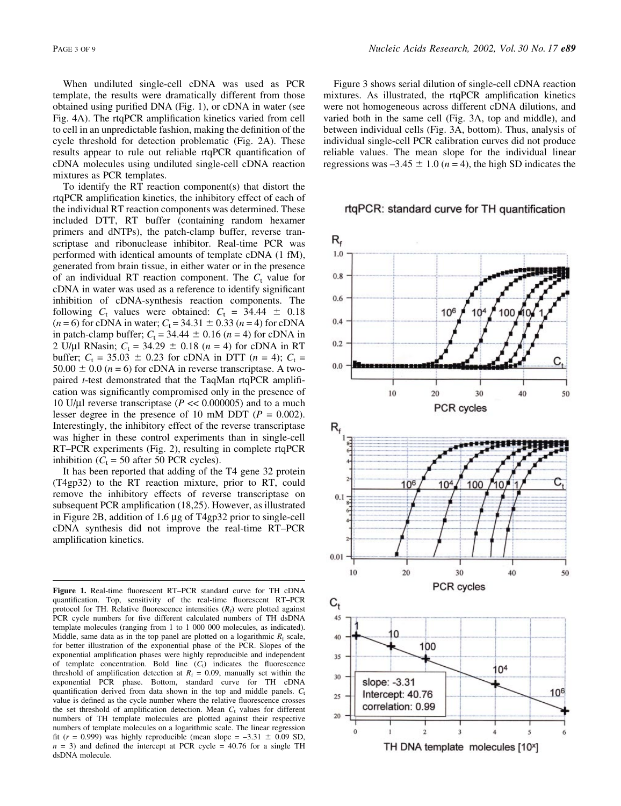When undiluted single-cell cDNA was used as PCR template, the results were dramatically different from those obtained using purified DNA (Fig. 1), or cDNA in water (see Fig. 4A). The rtqPCR amplification kinetics varied from cell to cell in an unpredictable fashion, making the definition of the cycle threshold for detection problematic (Fig. 2A). These results appear to rule out reliable rtqPCR quantification of cDNA molecules using undiluted single-cell cDNA reaction mixtures as PCR templates.

To identify the RT reaction component(s) that distort the rtqPCR amplification kinetics, the inhibitory effect of each of the individual RT reaction components was determined. These included DTT, RT buffer (containing random hexamer primers and dNTPs), the patch-clamp buffer, reverse transcriptase and ribonuclease inhibitor. Real-time PCR was performed with identical amounts of template cDNA (1 fM), generated from brain tissue, in either water or in the presence of an individual RT reaction component. The  $C_t$  value for cDNA in water was used as a reference to identify significant inhibition of cDNA-synthesis reaction components. The following  $C_t$  values were obtained:  $C_t = 34.44 \pm 0.18$  $(n = 6)$  for cDNA in water;  $C_t = 34.31 \pm 0.33$   $(n = 4)$  for cDNA in patch-clamp buffer;  $C_t = 34.44 \pm 0.16$  (n = 4) for cDNA in 2 U/µl RNasin;  $C_t = 34.29 \pm 0.18$  (n = 4) for cDNA in RT buffer;  $C_t = 35.03 \pm 0.23$  for cDNA in DTT (n = 4);  $C_t =$ 50.00  $\pm$  0.0 (*n* = 6) for cDNA in reverse transcriptase. A twopaired  $t$ -test demonstrated that the TaqMan rtqPCR amplification was significantly compromised only in the presence of 10 U/µl reverse transcriptase ( $P \ll 0.000005$ ) and to a much lesser degree in the presence of 10 mM DDT ( $P = 0.002$ ). Interestingly, the inhibitory effect of the reverse transcriptase was higher in these control experiments than in single-cell RT-PCR experiments (Fig. 2), resulting in complete rtqPCR inhibition ( $C_t$  = 50 after 50 PCR cycles).

It has been reported that adding of the T4 gene 32 protein (T4gp32) to the RT reaction mixture, prior to RT, could remove the inhibitory effects of reverse transcriptase on subsequent PCR amplification (18,25). However, as illustrated in Figure 2B, addition of  $1.6 \mu$ g of T4gp32 prior to single-cell cDNA synthesis did not improve the real-time RT-PCR amplification kinetics.

Figure 1. Real-time fluorescent RT-PCR standard curve for TH cDNA quantification. Top, sensitivity of the real-time fluorescent RT-PCR protocol for TH. Relative fluorescence intensities  $(R_f)$  were plotted against PCR cycle numbers for five different calculated numbers of TH dsDNA template molecules (ranging from 1 to 1 000 000 molecules, as indicated). Middle, same data as in the top panel are plotted on a logarithmic  $R_f$  scale, for better illustration of the exponential phase of the PCR. Slopes of the exponential amplification phases were highly reproducible and independent of template concentration. Bold line  $(C<sub>t</sub>)$  indicates the fluorescence threshold of amplification detection at  $R_f = 0.09$ , manually set within the exponential PCR phase. Bottom, standard curve for TH cDNA quantification derived from data shown in the top and middle panels.  $C_t$ value is defined as the cycle number where the relative fluorescence crosses the set threshold of amplification detection. Mean  $C_t$  values for different numbers of TH template molecules are plotted against their respective numbers of template molecules on a logarithmic scale. The linear regression fit ( $r = 0.999$ ) was highly reproducible (mean slope = -3.31  $\pm$  0.09 SD,  $n = 3$ ) and defined the intercept at PCR cycle = 40.76 for a single TH dsDNA molecule.

Figure 3 shows serial dilution of single-cell cDNA reaction mixtures. As illustrated, the rtqPCR amplification kinetics were not homogeneous across different cDNA dilutions, and varied both in the same cell (Fig. 3A, top and middle), and between individual cells (Fig. 3A, bottom). Thus, analysis of individual single-cell PCR calibration curves did not produce reliable values. The mean slope for the individual linear regressions was  $-3.45 \pm 1.0$  (n = 4), the high SD indicates the

#### rtgPCR: standard curve for TH quantification

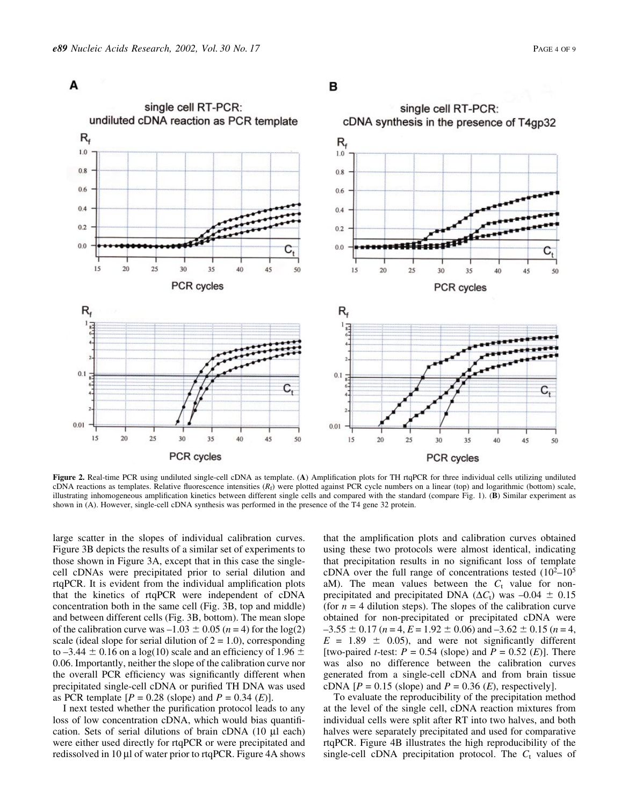

# в



Figure 2. Real-time PCR using undiluted single-cell cDNA as template. (A) Amplification plots for TH rtqPCR for three individual cells utilizing undiluted cDNA reactions as templates. Relative fluorescence intensities  $(R_f)$  were plotted against PCR cycle numbers on a linear (top) and logarithmic (bottom) scale, illustrating inhomogeneous amplification kinetics between different single cells and compared with the standard (compare Fig. 1). (B) Similar experiment as shown in (A). However, single-cell cDNA synthesis was performed in the presence of the T4 gene 32 protein.

large scatter in the slopes of individual calibration curves. Figure 3B depicts the results of a similar set of experiments to those shown in Figure 3A, except that in this case the singlecell cDNAs were precipitated prior to serial dilution and rtqPCR. It is evident from the individual amplification plots that the kinetics of rtqPCR were independent of cDNA concentration both in the same cell (Fig. 3B, top and middle) and between different cells (Fig. 3B, bottom). The mean slope of the calibration curve was  $-1.03 \pm 0.05$  (n = 4) for the log(2) scale (ideal slope for serial dilution of  $2 = 1.0$ ), corresponding to  $-3.44 \pm 0.16$  on a log(10) scale and an efficiency of 1.96  $\pm$ 0.06. Importantly, neither the slope of the calibration curve nor the overall PCR efficiency was significantly different when precipitated single-cell cDNA or purified TH DNA was used as PCR template  $[P = 0.28 \text{ (slope) and } P = 0.34 \text{ (E)}].$ 

I next tested whether the purification protocol leads to any loss of low concentration cDNA, which would bias quantification. Sets of serial dilutions of brain cDNA  $(10 \mu l$  each) were either used directly for rtqPCR or were precipitated and redissolved in 10  $\mu$ l of water prior to rtqPCR. Figure 4A shows that the amplification plots and calibration curves obtained using these two protocols were almost identical, indicating that precipitation results in no significant loss of template cDNA over the full range of concentrations tested  $(10^2-10^5)$ aM). The mean values between the  $C_t$  value for nonprecipitated and precipitated DNA ( $\Delta C_t$ ) was  $-0.04 \pm 0.15$ (for  $n = 4$  dilution steps). The slopes of the calibration curve obtained for non-precipitated or precipitated cDNA were  $-3.55 \pm 0.17$  (n = 4, E = 1.92  $\pm$  0.06) and  $-3.62 \pm 0.15$  (n = 4,  $E = 1.89 \pm 0.05$ , and were not significantly different [two-paired *t*-test:  $P = 0.54$  (slope) and  $P = 0.52$  (*E*)]. There was also no difference between the calibration curves generated from a single-cell cDNA and from brain tissue cDNA  $[P = 0.15$  (slope) and  $P = 0.36$  (E), respectively].

To evaluate the reproducibility of the precipitation method at the level of the single cell, cDNA reaction mixtures from individual cells were split after RT into two halves, and both halves were separately precipitated and used for comparative rtqPCR. Figure 4B illustrates the high reproducibility of the single-cell cDNA precipitation protocol. The  $C_t$  values of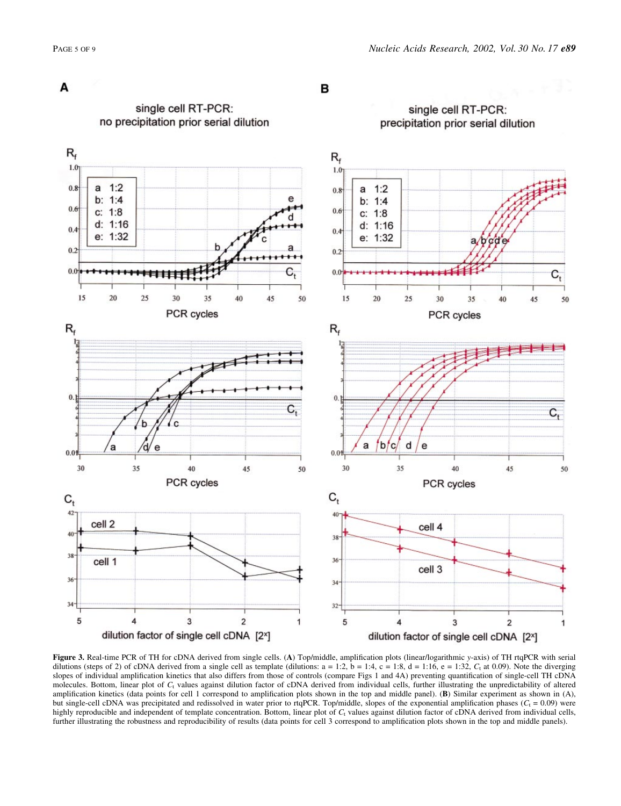single cell RT-PCR:



single cell RT-PCR:

в



Figure 3. Real-time PCR of TH for cDNA derived from single cells. (A) Top/middle, amplification plots (linear/logarithmic y-axis) of TH rtqPCR with serial dilutions (steps of 2) of cDNA derived from a single cell as template (dilutions:  $a = 1:2$ ,  $b = 1:4$ ,  $c = 1:8$ ,  $d = 1:16$ ,  $e = 1:32$ ,  $C<sub>t</sub>$  at 0.09). Note the diverging slopes of individual amplification kinetics that also differs from those of controls (compare Figs 1 and 4A) preventing quantification of single-cell TH cDNA molecules. Bottom, linear plot of  $C<sub>1</sub>$  values against dilution factor of cDNA derived from individual cells, further illustrating the unpredictability of altered amplification kinetics (data points for cell 1 correspond to amplification plots shown in the top and middle panel). (B) Similar experiment as shown in (A), but single-cell cDNA was precipitated and redissolved in water prior to rtqPCR. Top/middle, slopes of the exponential amplification phases ( $C_t$  = 0.09) were highly reproducible and independent of template concentration. Bottom, linear plot of  $C_t$  values against dilution factor of cDNA derived from individual cells, further illustrating the robustness and reproducibility of results (data points for cell 3 correspond to amplification plots shown in the top and middle panels).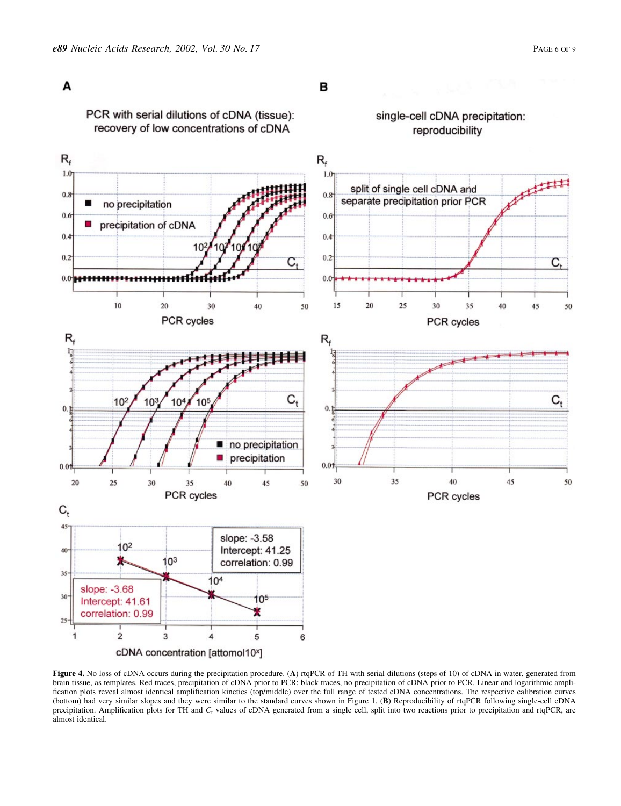single-cell cDNA precipitation:

reproducibility

# A

PCR with serial dilutions of cDNA (tissue): recovery of low concentrations of cDNA



Figure 4. No loss of cDNA occurs during the precipitation procedure. (A) rtqPCR of TH with serial dilutions (steps of 10) of cDNA in water, generated from brain tissue, as templates. Red traces, precipitation of cDNA prior to PCR; black traces, no precipitation of cDNA prior to PCR. Linear and logarithmic ampli fication plots reveal almost identical amplification kinetics (top/middle) over the full range of tested cDNA concentrations. The respective calibration curves (bottom) had very similar slopes and they were similar to the standard curves shown in Figure 1. (B) Reproducibility of rtqPCR following single-cell cDNA precipitation. Amplification plots for TH and C<sub>t</sub> values of cDNA generated from a single cell, split into two reactions prior to precipitation and rtqPCR, are almost identical.

# B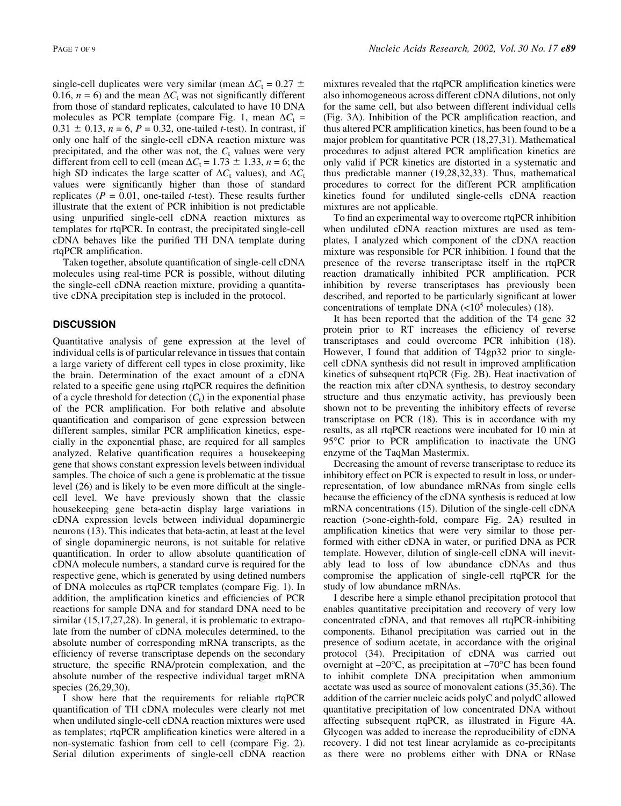single-cell duplicates were very similar (mean  $\Delta C_t = 0.27 \pm$ 0.16,  $n = 6$ ) and the mean  $\Delta C_t$  was not significantly different from those of standard replicates, calculated to have 10 DNA molecules as PCR template (compare Fig. 1, mean  $\Delta C_t$  =  $0.31 \pm 0.13$ ,  $n = 6$ ,  $P = 0.32$ , one-tailed *t*-test). In contrast, if only one half of the single-cell cDNA reaction mixture was precipitated, and the other was not, the  $C_t$  values were very different from cell to cell (mean  $\Delta C_t = 1.73 \pm 1.33$ ,  $n = 6$ ; the high SD indicates the large scatter of  $\Delta C_t$  values), and  $\Delta C_t$ values were significantly higher than those of standard replicates ( $P = 0.01$ , one-tailed *t*-test). These results further illustrate that the extent of PCR inhibition is not predictable using unpurified single-cell cDNA reaction mixtures as templates for rtqPCR. In contrast, the precipitated single-cell cDNA behaves like the purified TH DNA template during rtqPCR amplification.

Taken together, absolute quantification of single-cell cDNA molecules using real-time PCR is possible, without diluting the single-cell cDNA reaction mixture, providing a quantitative cDNA precipitation step is included in the protocol.

### **DISCUSSION**

Quantitative analysis of gene expression at the level of individual cells is of particular relevance in tissues that contain a large variety of different cell types in close proximity, like the brain. Determination of the exact amount of a cDNA related to a specific gene using rtqPCR requires the definition of a cycle threshold for detection  $(C_t)$  in the exponential phase of the PCR amplification. For both relative and absolute quantification and comparison of gene expression between different samples, similar PCR amplification kinetics, especially in the exponential phase, are required for all samples analyzed. Relative quantification requires a housekeeping gene that shows constant expression levels between individual samples. The choice of such a gene is problematic at the tissue level  $(26)$  and is likely to be even more difficult at the singlecell level. We have previously shown that the classic housekeeping gene beta-actin display large variations in cDNA expression levels between individual dopaminergic neurons (13). This indicates that beta-actin, at least at the level of single dopaminergic neurons, is not suitable for relative quantification. In order to allow absolute quantification of cDNA molecule numbers, a standard curve is required for the respective gene, which is generated by using defined numbers of DNA molecules as rtqPCR templates (compare Fig. 1). In addition, the amplification kinetics and efficiencies of PCR reactions for sample DNA and for standard DNA need to be similar (15,17,27,28). In general, it is problematic to extrapolate from the number of cDNA molecules determined, to the absolute number of corresponding mRNA transcripts, as the efficiency of reverse transcriptase depends on the secondary structure, the specific RNA/protein complexation, and the absolute number of the respective individual target mRNA species (26,29,30).

I show here that the requirements for reliable rtqPCR quantification of TH cDNA molecules were clearly not met when undiluted single-cell cDNA reaction mixtures were used as templates; rtqPCR amplification kinetics were altered in a non-systematic fashion from cell to cell (compare Fig. 2). Serial dilution experiments of single-cell cDNA reaction mixtures revealed that the rtqPCR amplification kinetics were also inhomogeneous across different cDNA dilutions, not only for the same cell, but also between different individual cells (Fig. 3A). Inhibition of the PCR amplification reaction, and thus altered PCR amplification kinetics, has been found to be a major problem for quantitative PCR (18,27,31). Mathematical procedures to adjust altered PCR amplification kinetics are only valid if PCR kinetics are distorted in a systematic and thus predictable manner (19,28,32,33). Thus, mathematical procedures to correct for the different PCR amplification kinetics found for undiluted single-cells cDNA reaction mixtures are not applicable.

To find an experimental way to overcome rtqPCR inhibition when undiluted cDNA reaction mixtures are used as templates, I analyzed which component of the cDNA reaction mixture was responsible for PCR inhibition. I found that the presence of the reverse transcriptase itself in the rtqPCR reaction dramatically inhibited PCR amplification. PCR inhibition by reverse transcriptases has previously been described, and reported to be particularly significant at lower concentrations of template DNA  $(<10<sup>5</sup>$  molecules) (18).

It has been reported that the addition of the T4 gene 32 protein prior to RT increases the efficiency of reverse transcriptases and could overcome PCR inhibition (18). However, I found that addition of T4gp32 prior to singlecell cDNA synthesis did not result in improved amplification kinetics of subsequent rtqPCR (Fig. 2B). Heat inactivation of the reaction mix after cDNA synthesis, to destroy secondary structure and thus enzymatic activity, has previously been shown not to be preventing the inhibitory effects of reverse transcriptase on PCR (18). This is in accordance with my results, as all rtqPCR reactions were incubated for 10 min at 95°C prior to PCR amplification to inactivate the UNG enzyme of the TaqMan Mastermix.

Decreasing the amount of reverse transcriptase to reduce its inhibitory effect on PCR is expected to result in loss, or underrepresentation, of low abundance mRNAs from single cells because the efficiency of the cDNA synthesis is reduced at low mRNA concentrations (15). Dilution of the single-cell cDNA reaction (>one-eighth-fold, compare Fig. 2A) resulted in amplification kinetics that were very similar to those performed with either cDNA in water, or purified DNA as PCR template. However, dilution of single-cell cDNA will inevitably lead to loss of low abundance cDNAs and thus compromise the application of single-cell rtqPCR for the study of low abundance mRNAs.

I describe here a simple ethanol precipitation protocol that enables quantitative precipitation and recovery of very low concentrated cDNA, and that removes all rtqPCR-inhibiting components. Ethanol precipitation was carried out in the presence of sodium acetate, in accordance with the original protocol (34). Precipitation of cDNA was carried out overnight at  $-20^{\circ}$ C, as precipitation at  $-70^{\circ}$ C has been found to inhibit complete DNA precipitation when ammonium acetate was used as source of monovalent cations (35,36). The addition of the carrier nucleic acids polyC and polydC allowed quantitative precipitation of low concentrated DNA without affecting subsequent rtqPCR, as illustrated in Figure 4A. Glycogen was added to increase the reproducibility of cDNA recovery. I did not test linear acrylamide as co-precipitants as there were no problems either with DNA or RNase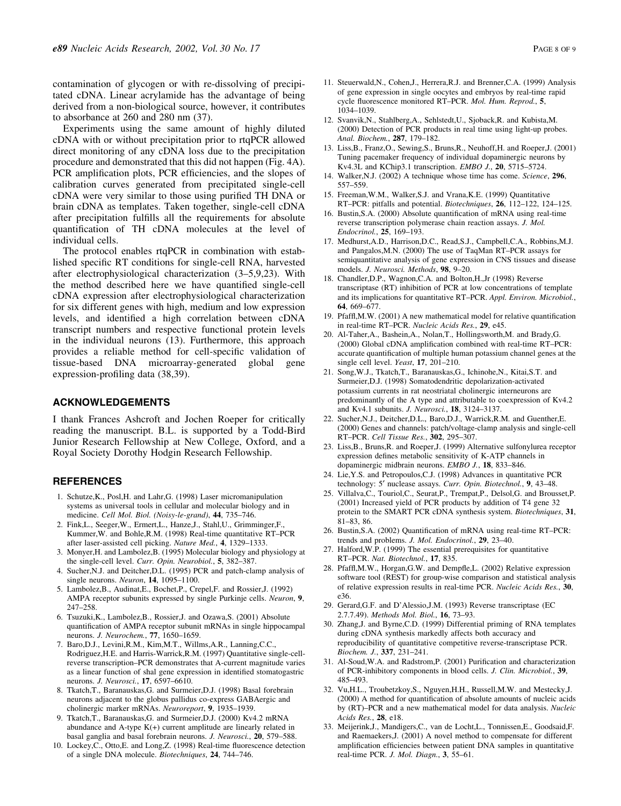contamination of glycogen or with re-dissolving of precipitated cDNA. Linear acrylamide has the advantage of being derived from a non-biological source, however, it contributes to absorbance at 260 and 280 nm (37).

Experiments using the same amount of highly diluted cDNA with or without precipitation prior to rtqPCR allowed direct monitoring of any cDNA loss due to the precipitation procedure and demonstrated that this did not happen (Fig. 4A). PCR amplification plots, PCR efficiencies, and the slopes of calibration curves generated from precipitated single-cell cDNA were very similar to those using purified TH DNA or brain cDNA as templates. Taken together, single-cell cDNA after precipitation fulfills all the requirements for absolute quantification of TH cDNA molecules at the level of individual cells.

The protocol enables rtqPCR in combination with established specific RT conditions for single-cell RNA, harvested after electrophysiological characterization  $(3-5,9,23)$ . With the method described here we have quantified single-cell cDNA expression after electrophysiological characterization for six different genes with high, medium and low expression levels, and identified a high correlation between cDNA transcript numbers and respective functional protein levels in the individual neurons (13). Furthermore, this approach provides a reliable method for cell-specific validation of tissue-based DNA microarray-generated global gene expression-profiling data (38,39).

### ACKNOWLEDGEMENTS

I thank Frances Ashcroft and Jochen Roeper for critically reading the manuscript. B.L. is supported by a Todd-Bird Junior Research Fellowship at New College, Oxford, and a Royal Society Dorothy Hodgin Research Fellowship.

#### **REFERENCES**

- 1. Schutze,K., Posl,H. and Lahr,G. (1998) Laser micromanipulation systems as universal tools in cellular and molecular biology and in medicine. Cell Mol. Biol. (Noisy-le-grand), 44, 735-746.
- 2. Fink,L., Seeger,W., Ermert,L., Hanze,J., Stahl,U., Grimminger,F., Kummer, W. and Bohle, R.M. (1998) Real-time quantitative RT-PCR after laser-assisted cell picking. Nature Med., 4, 1329-1333.
- 3. Monyer,H. and Lambolez,B. (1995) Molecular biology and physiology at the single-cell level. Curr. Opin. Neurobiol., 5, 382-387.
- 4. Sucher,N.J. and Deitcher,D.L. (1995) PCR and patch-clamp analysis of single neurons. Neuron,  $14$ ,  $1095-1100$ .
- 5. Lambolez,B., Audinat,E., Bochet,P., Crepel,F. and Rossier,J. (1992) AMPA receptor subunits expressed by single Purkinje cells. Neuron, 9, 247±258.
- 6. Tsuzuki,K., Lambolez,B., Rossier,J. and Ozawa,S. (2001) Absolute quantification of AMPA receptor subunit mRNAs in single hippocampal neurons. J. Neurochem., 77, 1650-1659.
- 7. Baro,D.J., Levini,R.M., Kim,M.T., Willms,A.R., Lanning,C.C., Rodriguez,H.E. and Harris-Warrick,R.M. (1997) Quantitative single-cellreverse transcription-PCR demonstrates that A-current magnitude varies as a linear function of shal gene expression in identified stomatogastric neurons. J. Neurosci., 17, 6597-6610.
- 8. Tkatch,T., Baranauskas,G. and Surmeier,D.J. (1998) Basal forebrain neurons adjacent to the globus pallidus co-express GABAergic and cholinergic marker mRNAs. Neuroreport, 9, 1935-1939.
- 9. Tkatch,T., Baranauskas,G. and Surmeier,D.J. (2000) Kv4.2 mRNA abundance and A-type  $K(+)$  current amplitude are linearly related in basal ganglia and basal forebrain neurons. J. Neurosci., 20, 579-588.
- 10. Lockey, C., Otto, E. and Long, Z. (1998) Real-time fluorescence detection of a single DNA molecule. Biotechniques, 24, 744-746.
- 11. Steuerwald,N., Cohen,J., Herrera,R.J. and Brenner,C.A. (1999) Analysis of gene expression in single oocytes and embryos by real-time rapid cycle fluorescence monitored RT-PCR. Mol. Hum. Reprod., 5, 1034±1039.
- 12. Svanvik,N., Stahlberg,A., Sehlstedt,U., Sjoback,R. and Kubista,M. (2000) Detection of PCR products in real time using light-up probes. Anal. Biochem., 287, 179-182.
- 13. Liss,B., Franz,O., Sewing,S., Bruns,R., Neuhoff,H. and Roeper,J. (2001) Tuning pacemaker frequency of individual dopaminergic neurons by Kv4.3L and KChip3.1 transcription. EMBO J., 20, 5715-5724.
- 14. Walker,N.J. (2002) A technique whose time has come. Science, 296, 557±559.
- 15. Freeman,W.M., Walker,S.J. and Vrana,K.E. (1999) Quantitative RT-PCR: pitfalls and potential. Biotechniques, 26, 112-122, 124-125.
- 16. Bustin, S.A. (2000) Absolute quantification of mRNA using real-time reverse transcription polymerase chain reaction assays. J. Mol. Endocrinol., 25, 169-193.
- 17. Medhurst,A.D., Harrison,D.C., Read,S.J., Campbell,C.A., Robbins,M.J. and Pangalos, M.N. (2000) The use of TaqMan RT-PCR assays for semiquantitative analysis of gene expression in CNS tissues and disease models. J. Neurosci. Methods, 98, 9-20.
- 18. Chandler,D.P., Wagnon,C.A. and Bolton,H.,Jr (1998) Reverse transcriptase (RT) inhibition of PCR at low concentrations of template and its implications for quantitative RT-PCR. Appl. Environ. Microbiol., 64, 669-677.
- 19. Pfaffl, M.W. (2001) A new mathematical model for relative quantification in real-time RT-PCR. Nucleic Acids Res., 29, e45.
- 20. Al-Taher,A., Bashein,A., Nolan,T., Hollingsworth,M. and Brady,G.  $(2000)$  Global cDNA amplification combined with real-time RT $-$ PCR: accurate quantification of multiple human potassium channel genes at the single cell level. Yeast,  $17$ ,  $201-210$ .
- 21. Song,W.J., Tkatch,T., Baranauskas,G., Ichinohe,N., Kitai,S.T. and Surmeier,D.J. (1998) Somatodendritic depolarization-activated potassium currents in rat neostriatal cholinergic interneurons are predominantly of the A type and attributable to coexpression of Kv4.2 and Kv4.1 subunits. *J. Neurosci.*, **18**, 3124-3137.
- 22. Sucher,N.J., Deitcher,D.L., Baro,D.J., Warrick,R.M. and Guenther,E. (2000) Genes and channels: patch/voltage-clamp analysis and single-cell RT-PCR. Cell Tissue Res., 302, 295-307.
- 23. Liss,B., Bruns,R. and Roeper,J. (1999) Alternative sulfonylurea receptor expression defines metabolic sensitivity of K-ATP channels in dopaminergic midbrain neurons. EMBO J., 18, 833-846.
- 24. Lie,Y.S. and Petropoulos,C.J. (1998) Advances in quantitative PCR technology: 5' nuclease assays. Curr. Opin. Biotechnol., 9, 43-48.
- 25. Villalva,C., Touriol,C., Seurat,P., Trempat,P., Delsol,G. and Brousset,P. (2001) Increased yield of PCR products by addition of T4 gene 32 protein to the SMART PCR cDNA synthesis system. Biotechniques, 31, 81±83, 86.
- 26. Bustin, S.A. (2002) Quantification of mRNA using real-time RT-PCR: trends and problems. J. Mol. Endocrinol., 29, 23-40.
- 27. Halford,W.P. (1999) The essential prerequisites for quantitative RT-PCR. Nat. Biotechnol., 17, 835.
- 28. Pfaffl, M.W., Horgan, G.W. and Dempfle, L. (2002) Relative expression software tool (REST) for group-wise comparison and statistical analysis of relative expression results in real-time PCR. Nucleic Acids Res., 30, e36.
- 29. Gerard,G.F. and D'Alessio,J.M. (1993) Reverse transcriptase (EC 2.7.7.49). Methods Mol. Biol., 16, 73-93.
- 30. Zhang,J. and Byrne,C.D. (1999) Differential priming of RNA templates during cDNA synthesis markedly affects both accuracy and reproducibility of quantitative competitive reverse-transcriptase PCR. Biochem. J., 337, 231-241.
- 31. Al-Soud, W.A. and Radstrom, P. (2001) Purification and characterization of PCR-inhibitory components in blood cells. J. Clin. Microbiol., 39, 485±493.
- 32. Vu,H.L., Troubetzkoy,S., Nguyen,H.H., Russell,M.W. and Mestecky,J. (2000) A method for quantification of absolute amounts of nucleic acids by (RT)-PCR and a new mathematical model for data analysis. Nucleic Acids Res., 28, e18.
- 33. Meijerink,J., Mandigers,C., van de Locht,L., Tonnissen,E., Goodsaid,F. and Raemaekers,J. (2001) A novel method to compensate for different amplification efficiencies between patient DNA samples in quantitative real-time PCR. J. Mol. Diagn.,  $3, 55-61$ .